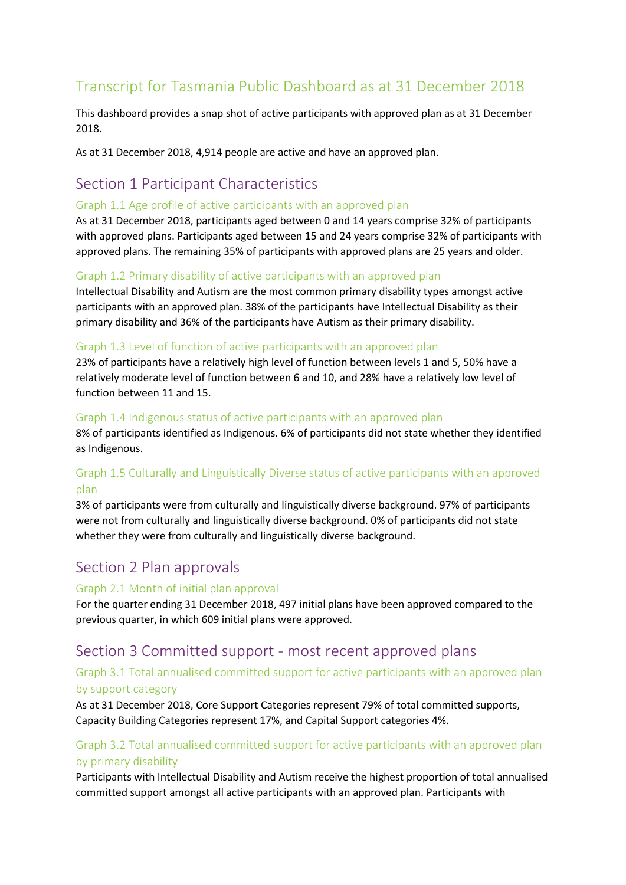# Transcript for Tasmania Public Dashboard as at 31 December 2018

This dashboard provides a snap shot of active participants with approved plan as at 31 December 2018.

As at 31 December 2018, 4,914 people are active and have an approved plan.

# Section 1 Participant Characteristics

#### Graph 1.1 Age profile of active participants with an approved plan

As at 31 December 2018, participants aged between 0 and 14 years comprise 32% of participants with approved plans. Participants aged between 15 and 24 years comprise 32% of participants with approved plans. The remaining 35% of participants with approved plans are 25 years and older.

#### Graph 1.2 Primary disability of active participants with an approved plan

Intellectual Disability and Autism are the most common primary disability types amongst active participants with an approved plan. 38% of the participants have Intellectual Disability as their primary disability and 36% of the participants have Autism as their primary disability.

#### Graph 1.3 Level of function of active participants with an approved plan

23% of participants have a relatively high level of function between levels 1 and 5, 50% have a relatively moderate level of function between 6 and 10, and 28% have a relatively low level of function between 11 and 15.

#### Graph 1.4 Indigenous status of active participants with an approved plan

8% of participants identified as Indigenous. 6% of participants did not state whether they identified as Indigenous.

## Graph 1.5 Culturally and Linguistically Diverse status of active participants with an approved plan

3% of participants were from culturally and linguistically diverse background. 97% of participants were not from culturally and linguistically diverse background. 0% of participants did not state whether they were from culturally and linguistically diverse background.

# Section 2 Plan approvals

#### Graph 2.1 Month of initial plan approval

For the quarter ending 31 December 2018, 497 initial plans have been approved compared to the previous quarter, in which 609 initial plans were approved.

# Section 3 Committed support - most recent approved plans

#### Graph 3.1 Total annualised committed support for active participants with an approved plan by support category

As at 31 December 2018, Core Support Categories represent 79% of total committed supports, Capacity Building Categories represent 17%, and Capital Support categories 4%.

## Graph 3.2 Total annualised committed support for active participants with an approved plan by primary disability

Participants with Intellectual Disability and Autism receive the highest proportion of total annualised committed support amongst all active participants with an approved plan. Participants with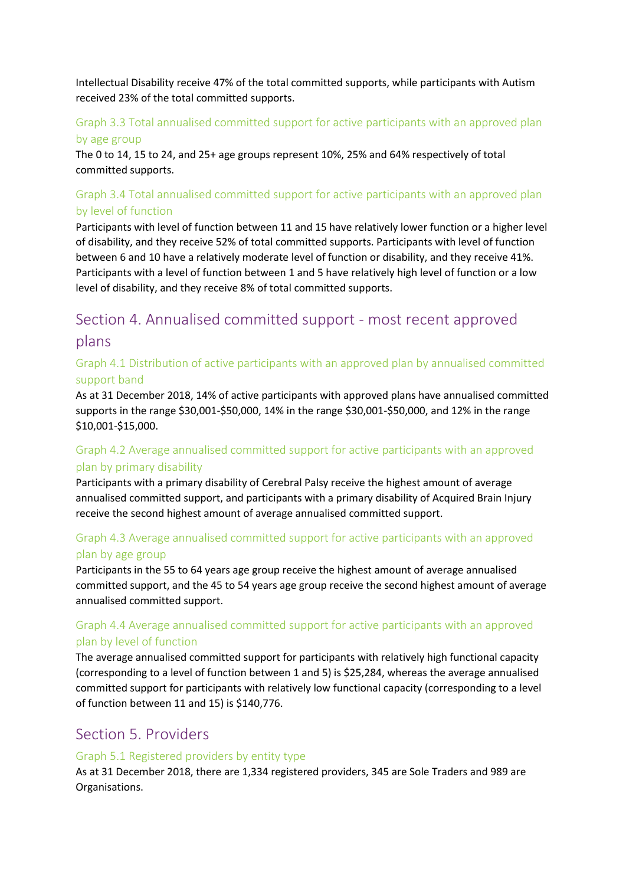Intellectual Disability receive 47% of the total committed supports, while participants with Autism received 23% of the total committed supports.

## Graph 3.3 Total annualised committed support for active participants with an approved plan

#### by age group

The 0 to 14, 15 to 24, and 25+ age groups represent 10%, 25% and 64% respectively of total committed supports.

## Graph 3.4 Total annualised committed support for active participants with an approved plan by level of function

Participants with level of function between 11 and 15 have relatively lower function or a higher level of disability, and they receive 52% of total committed supports. Participants with level of function between 6 and 10 have a relatively moderate level of function or disability, and they receive 41%. Participants with a level of function between 1 and 5 have relatively high level of function or a low level of disability, and they receive 8% of total committed supports.

# Section 4. Annualised committed support - most recent approved plans

## Graph 4.1 Distribution of active participants with an approved plan by annualised committed support band

As at 31 December 2018, 14% of active participants with approved plans have annualised committed supports in the range \$30,001-\$50,000, 14% in the range \$30,001-\$50,000, and 12% in the range \$10,001-\$15,000.

## Graph 4.2 Average annualised committed support for active participants with an approved plan by primary disability

Participants with a primary disability of Cerebral Palsy receive the highest amount of average annualised committed support, and participants with a primary disability of Acquired Brain Injury receive the second highest amount of average annualised committed support.

## Graph 4.3 Average annualised committed support for active participants with an approved plan by age group

Participants in the 55 to 64 years age group receive the highest amount of average annualised committed support, and the 45 to 54 years age group receive the second highest amount of average annualised committed support.

## Graph 4.4 Average annualised committed support for active participants with an approved plan by level of function

The average annualised committed support for participants with relatively high functional capacity (corresponding to a level of function between 1 and 5) is \$25,284, whereas the average annualised committed support for participants with relatively low functional capacity (corresponding to a level of function between 11 and 15) is \$140,776.

# Section 5. Providers

#### Graph 5.1 Registered providers by entity type

As at 31 December 2018, there are 1,334 registered providers, 345 are Sole Traders and 989 are Organisations.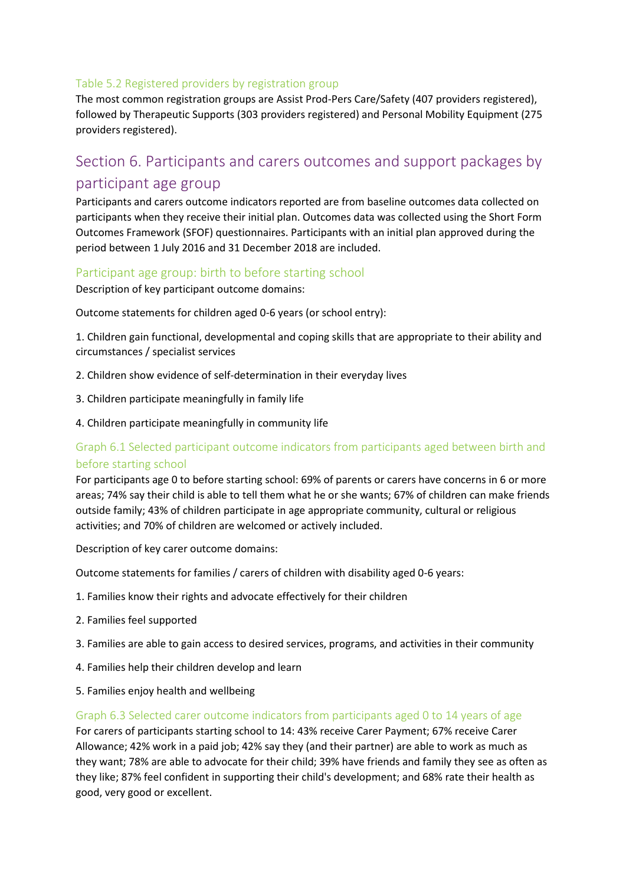#### Table 5.2 Registered providers by registration group

The most common registration groups are Assist Prod-Pers Care/Safety (407 providers registered), followed by Therapeutic Supports (303 providers registered) and Personal Mobility Equipment (275 providers registered).

# Section 6. Participants and carers outcomes and support packages by participant age group

Participants and carers outcome indicators reported are from baseline outcomes data collected on participants when they receive their initial plan. Outcomes data was collected using the Short Form Outcomes Framework (SFOF) questionnaires. Participants with an initial plan approved during the period between 1 July 2016 and 31 December 2018 are included.

#### Participant age group: birth to before starting school

Description of key participant outcome domains:

Outcome statements for children aged 0-6 years (or school entry):

1. Children gain functional, developmental and coping skills that are appropriate to their ability and circumstances / specialist services

- 2. Children show evidence of self-determination in their everyday lives
- 3. Children participate meaningfully in family life
- 4. Children participate meaningfully in community life

#### Graph 6.1 Selected participant outcome indicators from participants aged between birth and before starting school

For participants age 0 to before starting school: 69% of parents or carers have concerns in 6 or more areas; 74% say their child is able to tell them what he or she wants; 67% of children can make friends outside family; 43% of children participate in age appropriate community, cultural or religious activities; and 70% of children are welcomed or actively included.

Description of key carer outcome domains:

Outcome statements for families / carers of children with disability aged 0-6 years:

- 1. Families know their rights and advocate effectively for their children
- 2. Families feel supported
- 3. Families are able to gain access to desired services, programs, and activities in their community
- 4. Families help their children develop and learn
- 5. Families enjoy health and wellbeing

#### Graph 6.3 Selected carer outcome indicators from participants aged 0 to 14 years of age

For carers of participants starting school to 14: 43% receive Carer Payment; 67% receive Carer Allowance; 42% work in a paid job; 42% say they (and their partner) are able to work as much as they want; 78% are able to advocate for their child; 39% have friends and family they see as often as they like; 87% feel confident in supporting their child's development; and 68% rate their health as good, very good or excellent.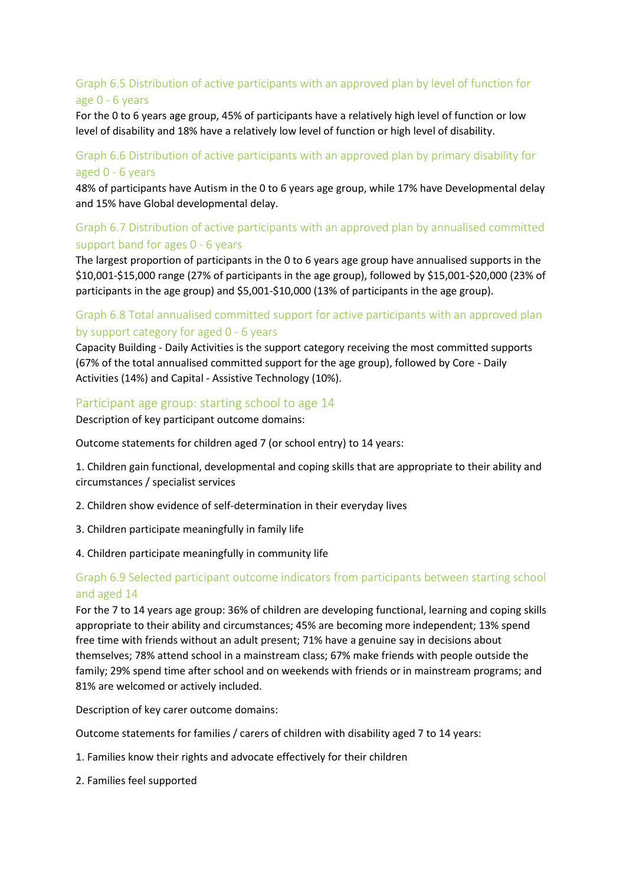## Graph 6.5 Distribution of active participants with an approved plan by level of function for age 0 - 6 years

For the 0 to 6 years age group, 45% of participants have a relatively high level of function or low level of disability and 18% have a relatively low level of function or high level of disability.

#### Graph 6.6 Distribution of active participants with an approved plan by primary disability for aged 0 - 6 years

48% of participants have Autism in the 0 to 6 years age group, while 17% have Developmental delay and 15% have Global developmental delay.

## Graph 6.7 Distribution of active participants with an approved plan by annualised committed support band for ages 0 - 6 years

The largest proportion of participants in the 0 to 6 years age group have annualised supports in the \$10,001-\$15,000 range (27% of participants in the age group), followed by \$15,001-\$20,000 (23% of participants in the age group) and \$5,001-\$10,000 (13% of participants in the age group).

#### Graph 6.8 Total annualised committed support for active participants with an approved plan by support category for aged 0 - 6 years

Capacity Building - Daily Activities is the support category receiving the most committed supports (67% of the total annualised committed support for the age group), followed by Core - Daily Activities (14%) and Capital - Assistive Technology (10%).

#### Participant age group: starting school to age 14

Description of key participant outcome domains:

Outcome statements for children aged 7 (or school entry) to 14 years:

1. Children gain functional, developmental and coping skills that are appropriate to their ability and circumstances / specialist services

- 2. Children show evidence of self-determination in their everyday lives
- 3. Children participate meaningfully in family life
- 4. Children participate meaningfully in community life

#### Graph 6.9 Selected participant outcome indicators from participants between starting school and aged 14

For the 7 to 14 years age group: 36% of children are developing functional, learning and coping skills appropriate to their ability and circumstances; 45% are becoming more independent; 13% spend free time with friends without an adult present; 71% have a genuine say in decisions about themselves; 78% attend school in a mainstream class; 67% make friends with people outside the family; 29% spend time after school and on weekends with friends or in mainstream programs; and 81% are welcomed or actively included.

Description of key carer outcome domains:

Outcome statements for families / carers of children with disability aged 7 to 14 years:

- 1. Families know their rights and advocate effectively for their children
- 2. Families feel supported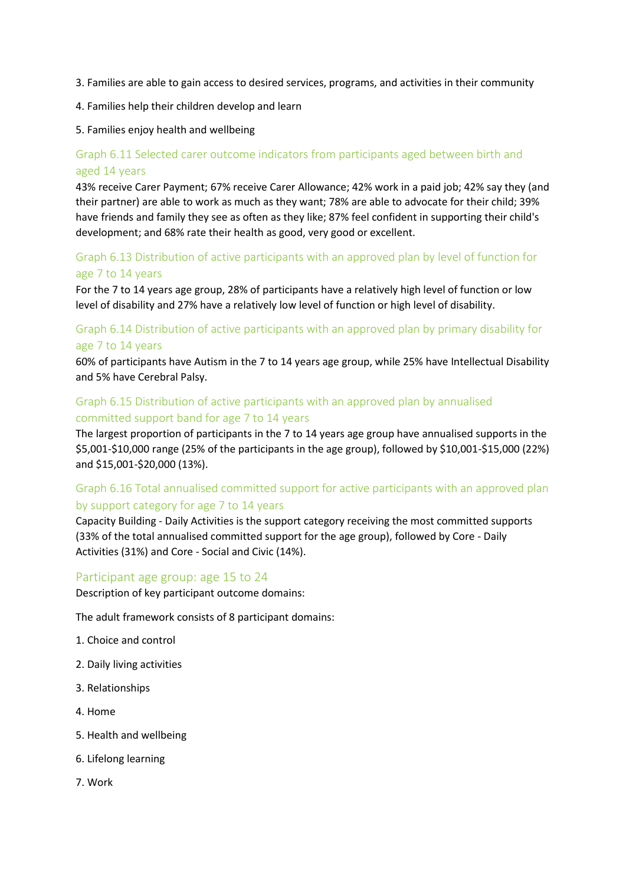- 3. Families are able to gain access to desired services, programs, and activities in their community
- 4. Families help their children develop and learn
- 5. Families enjoy health and wellbeing

## Graph 6.11 Selected carer outcome indicators from participants aged between birth and aged 14 years

43% receive Carer Payment; 67% receive Carer Allowance; 42% work in a paid job; 42% say they (and their partner) are able to work as much as they want; 78% are able to advocate for their child; 39% have friends and family they see as often as they like; 87% feel confident in supporting their child's development; and 68% rate their health as good, very good or excellent.

#### Graph 6.13 Distribution of active participants with an approved plan by level of function for age 7 to 14 years

For the 7 to 14 years age group, 28% of participants have a relatively high level of function or low level of disability and 27% have a relatively low level of function or high level of disability.

## Graph 6.14 Distribution of active participants with an approved plan by primary disability for age 7 to 14 years

60% of participants have Autism in the 7 to 14 years age group, while 25% have Intellectual Disability and 5% have Cerebral Palsy.

#### Graph 6.15 Distribution of active participants with an approved plan by annualised committed support band for age 7 to 14 years

The largest proportion of participants in the 7 to 14 years age group have annualised supports in the \$5,001-\$10,000 range (25% of the participants in the age group), followed by \$10,001-\$15,000 (22%) and \$15,001-\$20,000 (13%).

## Graph 6.16 Total annualised committed support for active participants with an approved plan by support category for age 7 to 14 years

Capacity Building - Daily Activities is the support category receiving the most committed supports (33% of the total annualised committed support for the age group), followed by Core - Daily Activities (31%) and Core - Social and Civic (14%).

#### Participant age group: age 15 to 24

Description of key participant outcome domains:

The adult framework consists of 8 participant domains:

- 1. Choice and control
- 2. Daily living activities
- 3. Relationships
- 4. Home
- 5. Health and wellbeing
- 6. Lifelong learning
- 7. Work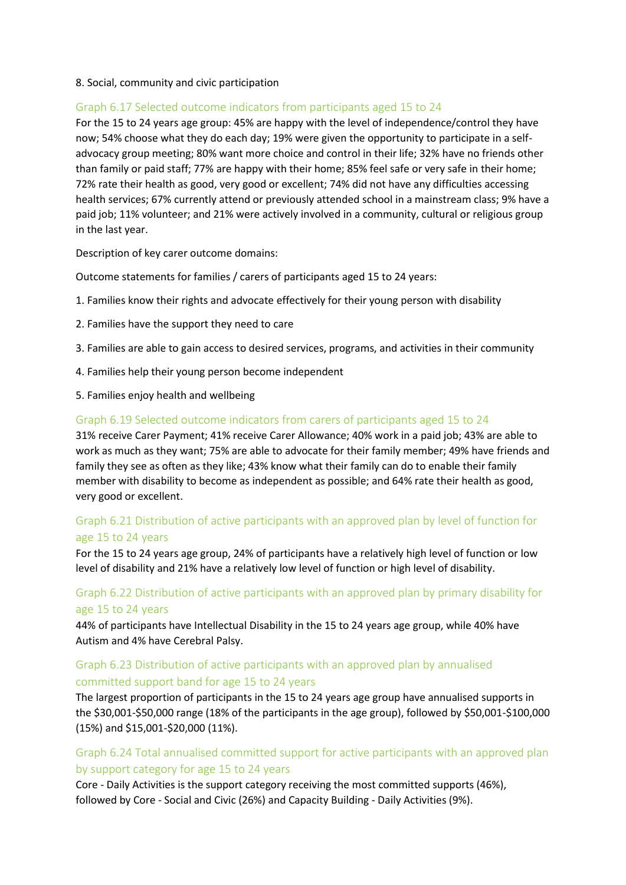#### 8. Social, community and civic participation

#### Graph 6.17 Selected outcome indicators from participants aged 15 to 24

For the 15 to 24 years age group: 45% are happy with the level of independence/control they have now; 54% choose what they do each day; 19% were given the opportunity to participate in a selfadvocacy group meeting; 80% want more choice and control in their life; 32% have no friends other than family or paid staff; 77% are happy with their home; 85% feel safe or very safe in their home; 72% rate their health as good, very good or excellent; 74% did not have any difficulties accessing health services; 67% currently attend or previously attended school in a mainstream class; 9% have a paid job; 11% volunteer; and 21% were actively involved in a community, cultural or religious group in the last year.

Description of key carer outcome domains:

Outcome statements for families / carers of participants aged 15 to 24 years:

- 1. Families know their rights and advocate effectively for their young person with disability
- 2. Families have the support they need to care
- 3. Families are able to gain access to desired services, programs, and activities in their community
- 4. Families help their young person become independent
- 5. Families enjoy health and wellbeing

#### Graph 6.19 Selected outcome indicators from carers of participants aged 15 to 24

31% receive Carer Payment; 41% receive Carer Allowance; 40% work in a paid job; 43% are able to work as much as they want; 75% are able to advocate for their family member; 49% have friends and family they see as often as they like; 43% know what their family can do to enable their family member with disability to become as independent as possible; and 64% rate their health as good, very good or excellent.

#### Graph 6.21 Distribution of active participants with an approved plan by level of function for age 15 to 24 years

For the 15 to 24 years age group, 24% of participants have a relatively high level of function or low level of disability and 21% have a relatively low level of function or high level of disability.

#### Graph 6.22 Distribution of active participants with an approved plan by primary disability for age 15 to 24 years

44% of participants have Intellectual Disability in the 15 to 24 years age group, while 40% have Autism and 4% have Cerebral Palsy.

#### Graph 6.23 Distribution of active participants with an approved plan by annualised committed support band for age 15 to 24 years

The largest proportion of participants in the 15 to 24 years age group have annualised supports in the \$30,001-\$50,000 range (18% of the participants in the age group), followed by \$50,001-\$100,000 (15%) and \$15,001-\$20,000 (11%).

## Graph 6.24 Total annualised committed support for active participants with an approved plan by support category for age 15 to 24 years

Core - Daily Activities is the support category receiving the most committed supports (46%), followed by Core - Social and Civic (26%) and Capacity Building - Daily Activities (9%).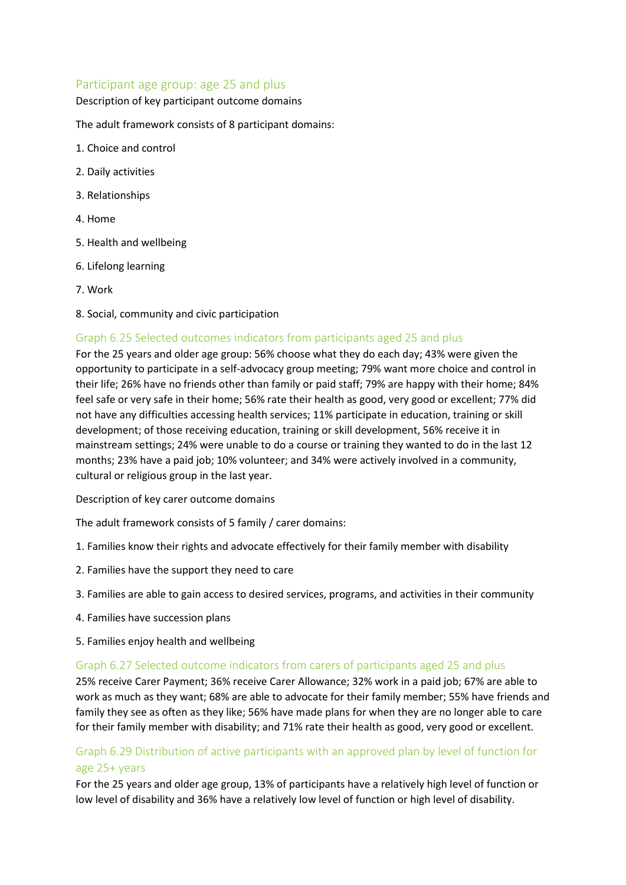#### Participant age group: age 25 and plus

#### Description of key participant outcome domains

The adult framework consists of 8 participant domains:

- 1. Choice and control
- 2. Daily activities
- 3. Relationships
- 4. Home
- 5. Health and wellbeing
- 6. Lifelong learning
- 7. Work
- 8. Social, community and civic participation

#### Graph 6.25 Selected outcomes indicators from participants aged 25 and plus

For the 25 years and older age group: 56% choose what they do each day; 43% were given the opportunity to participate in a self-advocacy group meeting; 79% want more choice and control in their life; 26% have no friends other than family or paid staff; 79% are happy with their home; 84% feel safe or very safe in their home; 56% rate their health as good, very good or excellent; 77% did not have any difficulties accessing health services; 11% participate in education, training or skill development; of those receiving education, training or skill development, 56% receive it in mainstream settings; 24% were unable to do a course or training they wanted to do in the last 12 months; 23% have a paid job; 10% volunteer; and 34% were actively involved in a community, cultural or religious group in the last year.

Description of key carer outcome domains

The adult framework consists of 5 family / carer domains:

- 1. Families know their rights and advocate effectively for their family member with disability
- 2. Families have the support they need to care
- 3. Families are able to gain access to desired services, programs, and activities in their community
- 4. Families have succession plans
- 5. Families enjoy health and wellbeing

#### Graph 6.27 Selected outcome indicators from carers of participants aged 25 and plus

25% receive Carer Payment; 36% receive Carer Allowance; 32% work in a paid job; 67% are able to work as much as they want; 68% are able to advocate for their family member; 55% have friends and family they see as often as they like; 56% have made plans for when they are no longer able to care for their family member with disability; and 71% rate their health as good, very good or excellent.

## Graph 6.29 Distribution of active participants with an approved plan by level of function for age 25+ years

For the 25 years and older age group, 13% of participants have a relatively high level of function or low level of disability and 36% have a relatively low level of function or high level of disability.